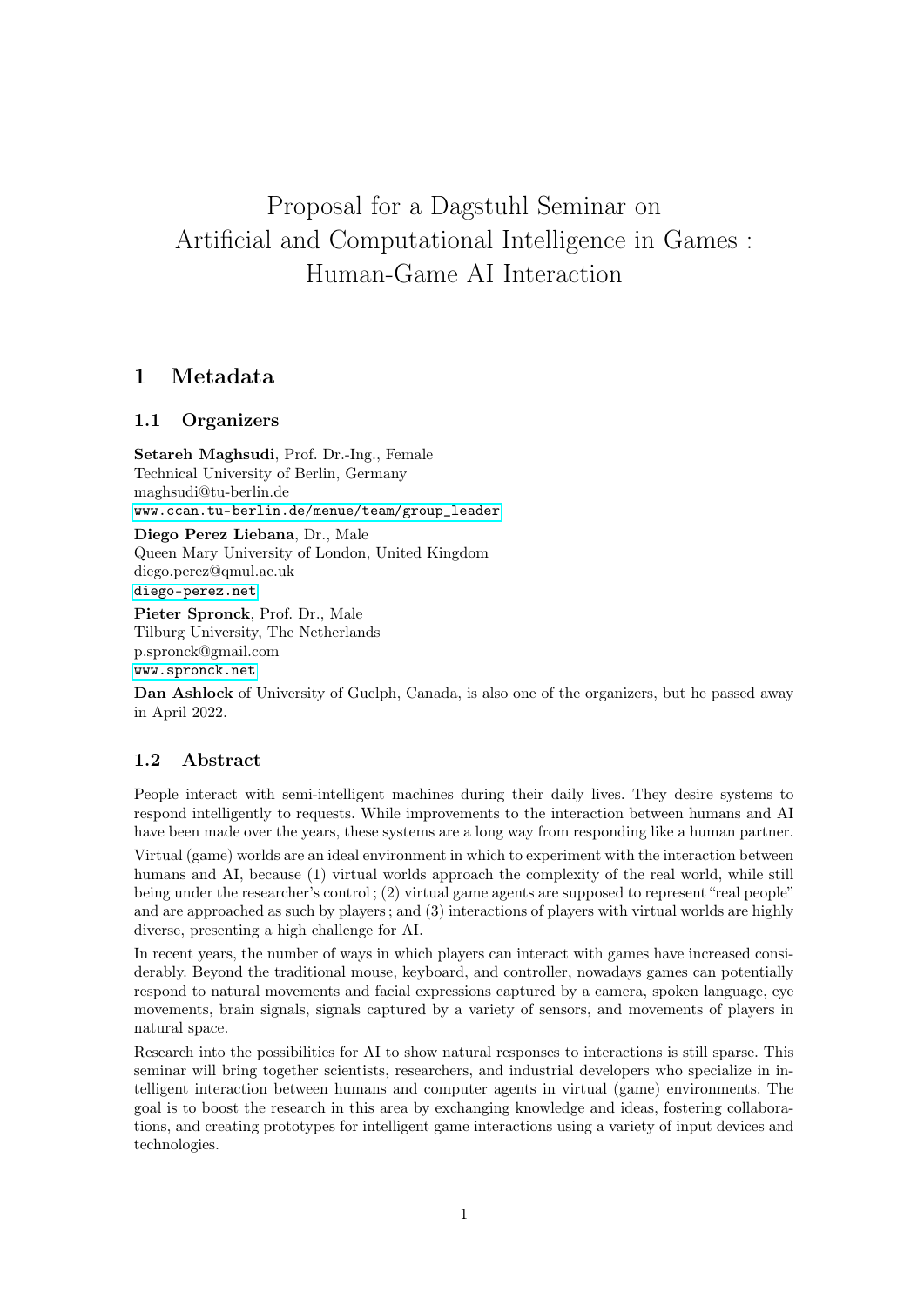# Proposal for a Dagstuhl Seminar on Artificial and Computational Intelligence in Games : Human-Game AI Interaction

# 1 Metadata

## 1.1 Organizers

Setareh Maghsudi, Prof. Dr.-Ing., Female Technical University of Berlin, Germany maghsudi@tu-berlin.de [www.ccan.tu-berlin.de/menue/team/group\\_leader](www.ccan.tu-berlin.de/menue/team/group_leader)

Diego Perez Liebana, Dr., Male Queen Mary University of London, United Kingdom diego.perez@qmul.ac.uk <diego-perez.net>

Pieter Spronck, Prof. Dr., Male Tilburg University, The Netherlands p.spronck@gmail.com <www.spronck.net>

Dan Ashlock of University of Guelph, Canada, is also one of the organizers, but he passed away in April 2022.

# 1.2 Abstract

People interact with semi-intelligent machines during their daily lives. They desire systems to respond intelligently to requests. While improvements to the interaction between humans and AI have been made over the years, these systems are a long way from responding like a human partner.

Virtual (game) worlds are an ideal environment in which to experiment with the interaction between humans and AI, because (1) virtual worlds approach the complexity of the real world, while still being under the researcher's control ; (2) virtual game agents are supposed to represent "real people" and are approached as such by players ; and (3) interactions of players with virtual worlds are highly diverse, presenting a high challenge for AI.

In recent years, the number of ways in which players can interact with games have increased considerably. Beyond the traditional mouse, keyboard, and controller, nowadays games can potentially respond to natural movements and facial expressions captured by a camera, spoken language, eye movements, brain signals, signals captured by a variety of sensors, and movements of players in natural space.

Research into the possibilities for AI to show natural responses to interactions is still sparse. This seminar will bring together scientists, researchers, and industrial developers who specialize in intelligent interaction between humans and computer agents in virtual (game) environments. The goal is to boost the research in this area by exchanging knowledge and ideas, fostering collaborations, and creating prototypes for intelligent game interactions using a variety of input devices and technologies.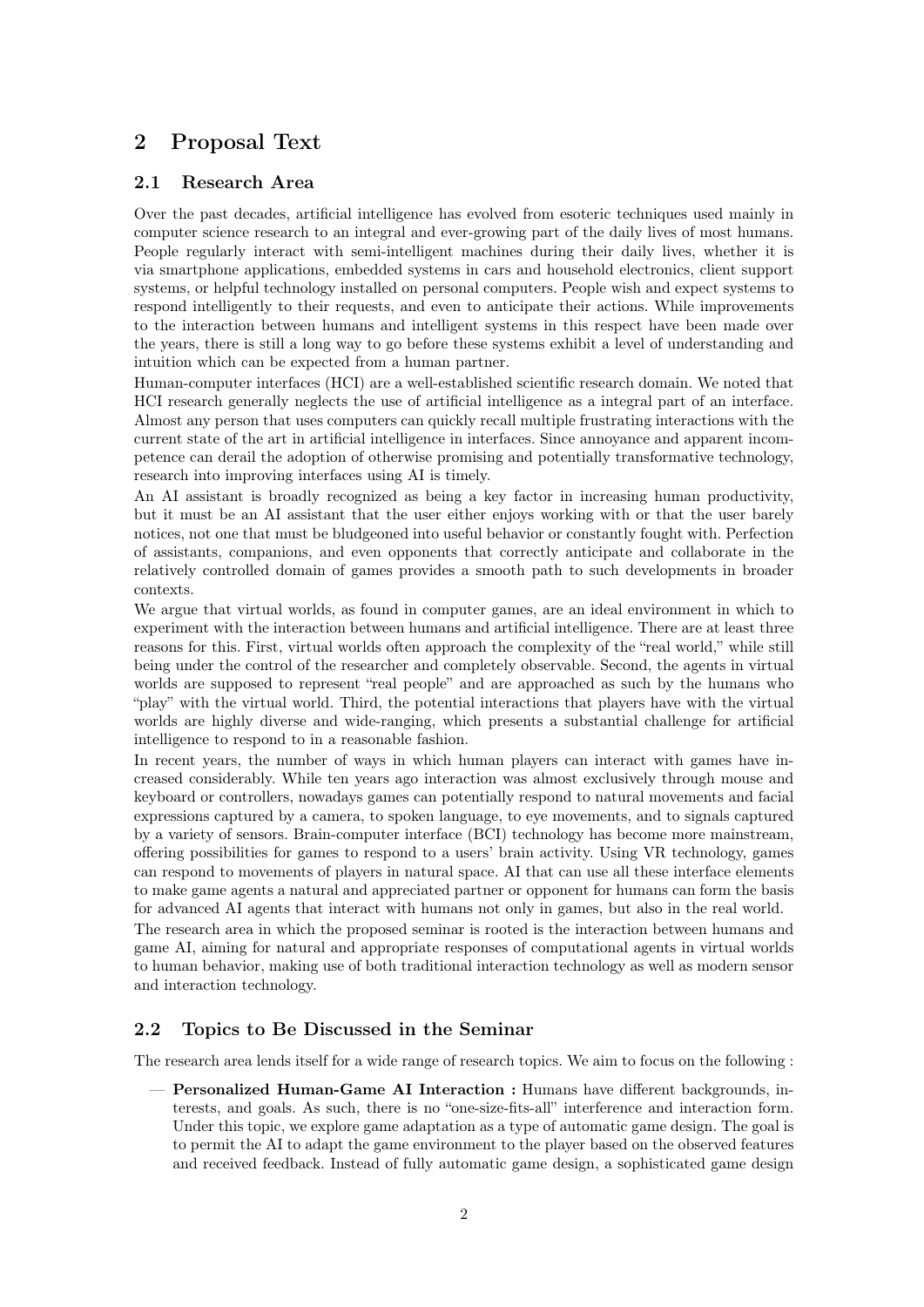# 2 Proposal Text

#### 2.1 Research Area

Over the past decades, artificial intelligence has evolved from esoteric techniques used mainly in computer science research to an integral and ever-growing part of the daily lives of most humans. People regularly interact with semi-intelligent machines during their daily lives, whether it is via smartphone applications, embedded systems in cars and household electronics, client support systems, or helpful technology installed on personal computers. People wish and expect systems to respond intelligently to their requests, and even to anticipate their actions. While improvements to the interaction between humans and intelligent systems in this respect have been made over the years, there is still a long way to go before these systems exhibit a level of understanding and intuition which can be expected from a human partner.

Human-computer interfaces (HCI) are a well-established scientific research domain. We noted that HCI research generally neglects the use of artificial intelligence as a integral part of an interface. Almost any person that uses computers can quickly recall multiple frustrating interactions with the current state of the art in artificial intelligence in interfaces. Since annoyance and apparent incompetence can derail the adoption of otherwise promising and potentially transformative technology, research into improving interfaces using AI is timely.

An AI assistant is broadly recognized as being a key factor in increasing human productivity, but it must be an AI assistant that the user either enjoys working with or that the user barely notices, not one that must be bludgeoned into useful behavior or constantly fought with. Perfection of assistants, companions, and even opponents that correctly anticipate and collaborate in the relatively controlled domain of games provides a smooth path to such developments in broader contexts.

We argue that virtual worlds, as found in computer games, are an ideal environment in which to experiment with the interaction between humans and artificial intelligence. There are at least three reasons for this. First, virtual worlds often approach the complexity of the "real world," while still being under the control of the researcher and completely observable. Second, the agents in virtual worlds are supposed to represent "real people" and are approached as such by the humans who "play" with the virtual world. Third, the potential interactions that players have with the virtual worlds are highly diverse and wide-ranging, which presents a substantial challenge for artificial intelligence to respond to in a reasonable fashion.

In recent years, the number of ways in which human players can interact with games have increased considerably. While ten years ago interaction was almost exclusively through mouse and keyboard or controllers, nowadays games can potentially respond to natural movements and facial expressions captured by a camera, to spoken language, to eye movements, and to signals captured by a variety of sensors. Brain-computer interface (BCI) technology has become more mainstream, offering possibilities for games to respond to a users' brain activity. Using VR technology, games can respond to movements of players in natural space. AI that can use all these interface elements to make game agents a natural and appreciated partner or opponent for humans can form the basis for advanced AI agents that interact with humans not only in games, but also in the real world.

The research area in which the proposed seminar is rooted is the interaction between humans and game AI, aiming for natural and appropriate responses of computational agents in virtual worlds to human behavior, making use of both traditional interaction technology as well as modern sensor and interaction technology.

# 2.2 Topics to Be Discussed in the Seminar

The research area lends itself for a wide range of research topics. We aim to focus on the following :

— Personalized Human-Game AI Interaction : Humans have different backgrounds, interests, and goals. As such, there is no "one-size-fits-all" interference and interaction form. Under this topic, we explore game adaptation as a type of automatic game design. The goal is to permit the AI to adapt the game environment to the player based on the observed features and received feedback. Instead of fully automatic game design, a sophisticated game design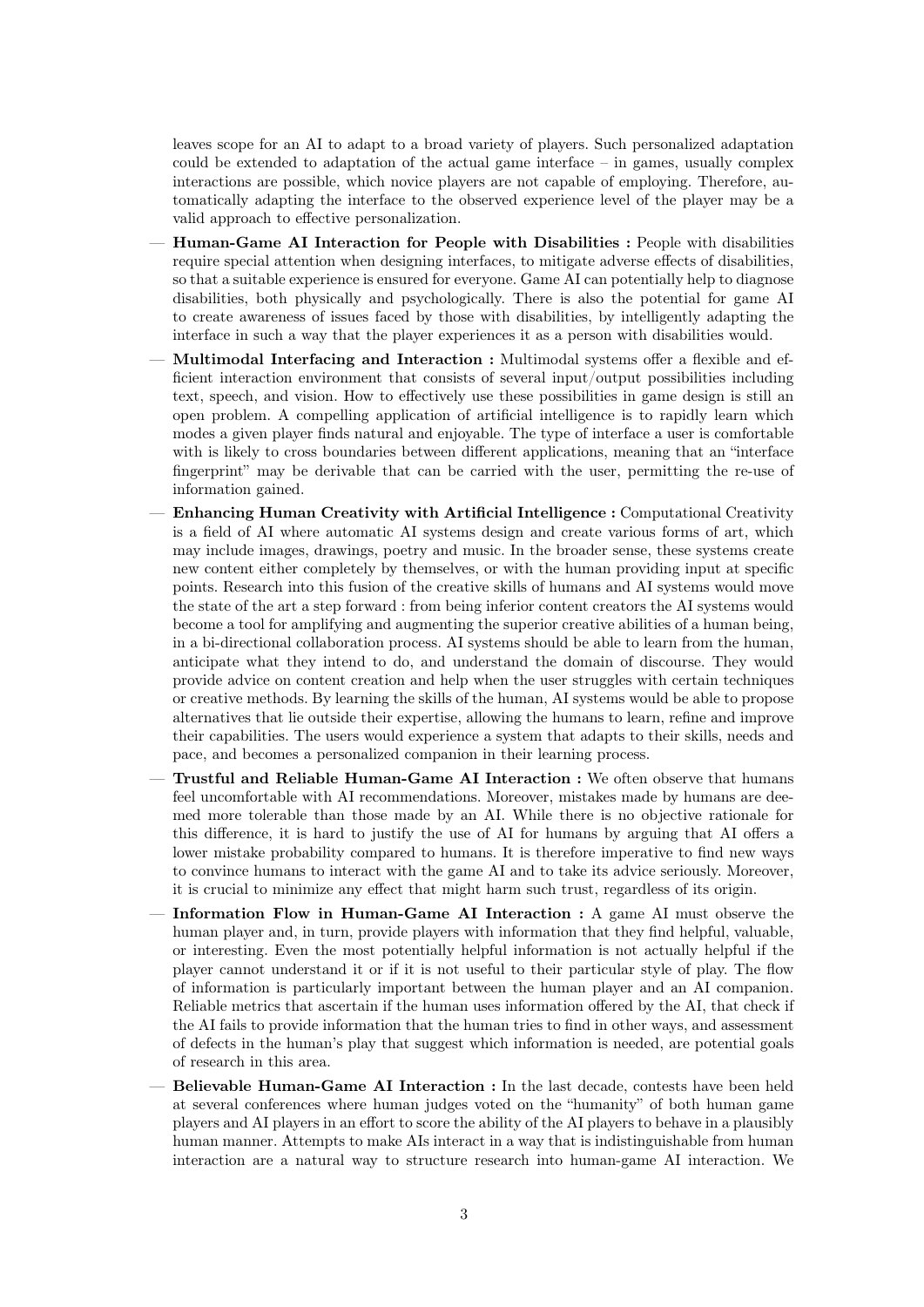leaves scope for an AI to adapt to a broad variety of players. Such personalized adaptation could be extended to adaptation of the actual game interface – in games, usually complex interactions are possible, which novice players are not capable of employing. Therefore, automatically adapting the interface to the observed experience level of the player may be a valid approach to effective personalization.

- Human-Game AI Interaction for People with Disabilities : People with disabilities require special attention when designing interfaces, to mitigate adverse effects of disabilities, so that a suitable experience is ensured for everyone. Game AI can potentially help to diagnose disabilities, both physically and psychologically. There is also the potential for game AI to create awareness of issues faced by those with disabilities, by intelligently adapting the interface in such a way that the player experiences it as a person with disabilities would.
- Multimodal Interfacing and Interaction : Multimodal systems offer a flexible and efficient interaction environment that consists of several input/output possibilities including text, speech, and vision. How to effectively use these possibilities in game design is still an open problem. A compelling application of artificial intelligence is to rapidly learn which modes a given player finds natural and enjoyable. The type of interface a user is comfortable with is likely to cross boundaries between different applications, meaning that an "interface fingerprint" may be derivable that can be carried with the user, permitting the re-use of information gained.
- Enhancing Human Creativity with Artificial Intelligence : Computational Creativity is a field of AI where automatic AI systems design and create various forms of art, which may include images, drawings, poetry and music. In the broader sense, these systems create new content either completely by themselves, or with the human providing input at specific points. Research into this fusion of the creative skills of humans and AI systems would move the state of the art a step forward : from being inferior content creators the AI systems would become a tool for amplifying and augmenting the superior creative abilities of a human being, in a bi-directional collaboration process. AI systems should be able to learn from the human, anticipate what they intend to do, and understand the domain of discourse. They would provide advice on content creation and help when the user struggles with certain techniques or creative methods. By learning the skills of the human, AI systems would be able to propose alternatives that lie outside their expertise, allowing the humans to learn, refine and improve their capabilities. The users would experience a system that adapts to their skills, needs and pace, and becomes a personalized companion in their learning process.
- Trustful and Reliable Human-Game AI Interaction : We often observe that humans feel uncomfortable with AI recommendations. Moreover, mistakes made by humans are deemed more tolerable than those made by an AI. While there is no objective rationale for this difference, it is hard to justify the use of AI for humans by arguing that AI offers a lower mistake probability compared to humans. It is therefore imperative to find new ways to convince humans to interact with the game AI and to take its advice seriously. Moreover, it is crucial to minimize any effect that might harm such trust, regardless of its origin.
- Information Flow in Human-Game AI Interaction : A game AI must observe the human player and, in turn, provide players with information that they find helpful, valuable, or interesting. Even the most potentially helpful information is not actually helpful if the player cannot understand it or if it is not useful to their particular style of play. The flow of information is particularly important between the human player and an AI companion. Reliable metrics that ascertain if the human uses information offered by the AI, that check if the AI fails to provide information that the human tries to find in other ways, and assessment of defects in the human's play that suggest which information is needed, are potential goals of research in this area.
- Believable Human-Game AI Interaction : In the last decade, contests have been held at several conferences where human judges voted on the "humanity" of both human game players and AI players in an effort to score the ability of the AI players to behave in a plausibly human manner. Attempts to make AIs interact in a way that is indistinguishable from human interaction are a natural way to structure research into human-game AI interaction. We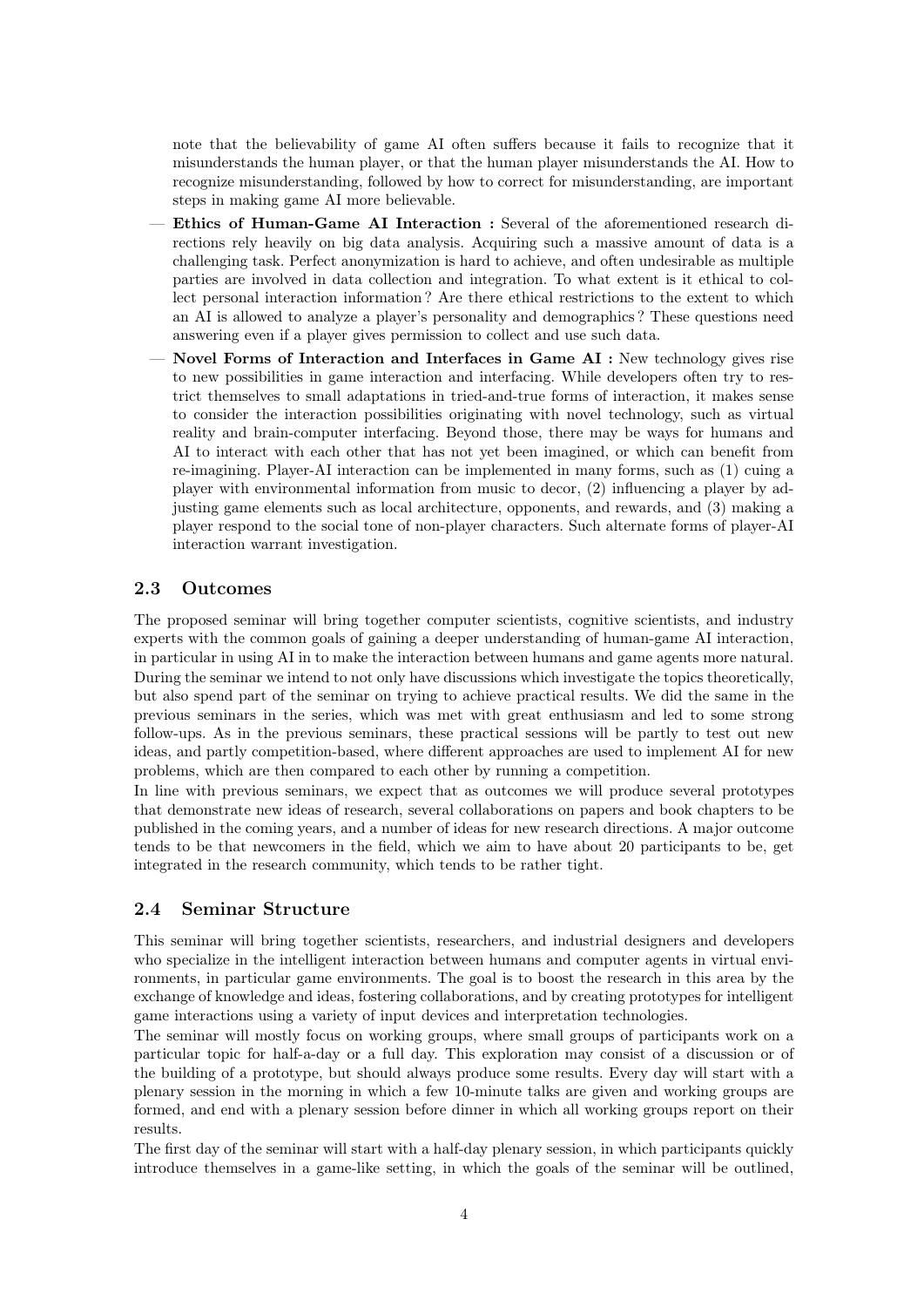note that the believability of game AI often suffers because it fails to recognize that it misunderstands the human player, or that the human player misunderstands the AI. How to recognize misunderstanding, followed by how to correct for misunderstanding, are important steps in making game AI more believable.

- Ethics of Human-Game AI Interaction : Several of the aforementioned research directions rely heavily on big data analysis. Acquiring such a massive amount of data is a challenging task. Perfect anonymization is hard to achieve, and often undesirable as multiple parties are involved in data collection and integration. To what extent is it ethical to collect personal interaction information ? Are there ethical restrictions to the extent to which an AI is allowed to analyze a player's personality and demographics ? These questions need answering even if a player gives permission to collect and use such data.
- Novel Forms of Interaction and Interfaces in Game AI : New technology gives rise to new possibilities in game interaction and interfacing. While developers often try to restrict themselves to small adaptations in tried-and-true forms of interaction, it makes sense to consider the interaction possibilities originating with novel technology, such as virtual reality and brain-computer interfacing. Beyond those, there may be ways for humans and AI to interact with each other that has not yet been imagined, or which can benefit from re-imagining. Player-AI interaction can be implemented in many forms, such as (1) cuing a player with environmental information from music to decor, (2) influencing a player by adjusting game elements such as local architecture, opponents, and rewards, and (3) making a player respond to the social tone of non-player characters. Such alternate forms of player-AI interaction warrant investigation.

## 2.3 Outcomes

The proposed seminar will bring together computer scientists, cognitive scientists, and industry experts with the common goals of gaining a deeper understanding of human-game AI interaction, in particular in using AI in to make the interaction between humans and game agents more natural. During the seminar we intend to not only have discussions which investigate the topics theoretically, but also spend part of the seminar on trying to achieve practical results. We did the same in the previous seminars in the series, which was met with great enthusiasm and led to some strong follow-ups. As in the previous seminars, these practical sessions will be partly to test out new ideas, and partly competition-based, where different approaches are used to implement AI for new problems, which are then compared to each other by running a competition.

In line with previous seminars, we expect that as outcomes we will produce several prototypes that demonstrate new ideas of research, several collaborations on papers and book chapters to be published in the coming years, and a number of ideas for new research directions. A major outcome tends to be that newcomers in the field, which we aim to have about 20 participants to be, get integrated in the research community, which tends to be rather tight.

#### 2.4 Seminar Structure

This seminar will bring together scientists, researchers, and industrial designers and developers who specialize in the intelligent interaction between humans and computer agents in virtual environments, in particular game environments. The goal is to boost the research in this area by the exchange of knowledge and ideas, fostering collaborations, and by creating prototypes for intelligent game interactions using a variety of input devices and interpretation technologies.

The seminar will mostly focus on working groups, where small groups of participants work on a particular topic for half-a-day or a full day. This exploration may consist of a discussion or of the building of a prototype, but should always produce some results. Every day will start with a plenary session in the morning in which a few 10-minute talks are given and working groups are formed, and end with a plenary session before dinner in which all working groups report on their results.

The first day of the seminar will start with a half-day plenary session, in which participants quickly introduce themselves in a game-like setting, in which the goals of the seminar will be outlined,